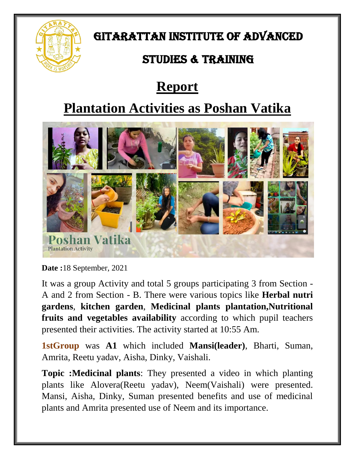

### GITARATTAN INSTITUTE OF ADVANCED

## STUDIES & TRAINING

# **Report**

## **Plantation Activities as Poshan Vatika**



**Date :**18 September, 2021

It was a group Activity and total 5 groups participating 3 from Section - A and 2 from Section - B. There were various topics like **Herbal nutri gardens**, **kitchen garden**, **Medicinal plants plantation,Nutritional fruits and vegetables availability** according to which pupil teachers presented their activities. The activity started at 10:55 Am.

**1stGroup** was **A1** which included **Mansi(leader)**, Bharti, Suman, Amrita, Reetu yadav, Aisha, Dinky, Vaishali.

**Topic :Medicinal plants**: They presented a video in which planting plants like Alovera(Reetu yadav), Neem(Vaishali) were presented. Mansi, Aisha, Dinky, Suman presented benefits and use of medicinal plants and Amrita presented use of Neem and its importance.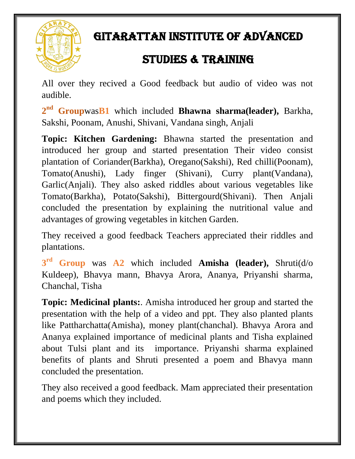

## GITARATTAN INSTITUTE OF ADVANCED

## STUDIES & TRAINING

All over they recived a Good feedback but audio of video was not audible.

**2 nd Group**was**B1** which included **Bhawna sharma(leader),** Barkha, Sakshi, Poonam, Anushi, Shivani, Vandana singh, Anjali

**Topic: Kitchen Gardening:** Bhawna started the presentation and introduced her group and started presentation Their video consist plantation of Coriander(Barkha), Oregano(Sakshi), Red chilli(Poonam), Tomato(Anushi), Lady finger (Shivani), Curry plant(Vandana), Garlic(Anjali). They also asked riddles about various vegetables like Tomato(Barkha), Potato(Sakshi), Bittergourd(Shivani). Then Anjali concluded the presentation by explaining the nutritional value and advantages of growing vegetables in kitchen Garden.

They received a good feedback Teachers appreciated their riddles and plantations.

**3 rd Group** was **A2** which included **Amisha (leader),** Shruti(d/o Kuldeep), Bhavya mann, Bhavya Arora, Ananya, Priyanshi sharma, Chanchal, Tisha

**Topic: Medicinal plants:**. Amisha introduced her group and started the presentation with the help of a video and ppt. They also planted plants like Pattharchatta(Amisha), money plant(chanchal). Bhavya Arora and Ananya explained importance of medicinal plants and Tisha explained about Tulsi plant and its importance. Priyanshi sharma explained benefits of plants and Shruti presented a poem and Bhavya mann concluded the presentation.

They also received a good feedback. Mam appreciated their presentation and poems which they included.